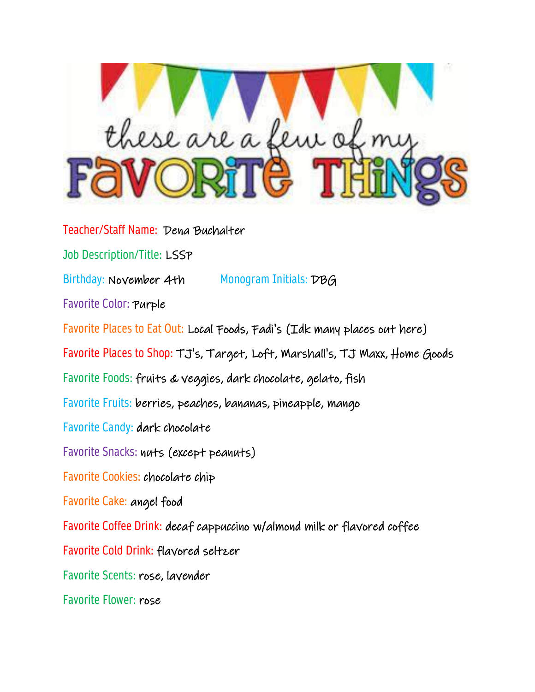

Teacher/Staff Name: Dena Buchalter Job Description/Title: LSSP Birthday: November 4th Monogram Initials: DBG Favorite Color: Purple Favorite Places to Eat Out: Local Foods, Fadi's (Idk many places out here) Favorite Places to Shop: TJ's, Target, Loft, Marshall's, TJ Maxx, Home Goods Favorite Foods: fruits & veggies, dark chocolate, gelato, fish Favorite Fruits: berries, peaches, bananas, pineapple, mango Favorite Candy: dark chocolate Favorite Snacks: nuts (except peanuts) Favorite Cookies: chocolate chip Favorite Cake: angel food Favorite Coffee Drink: decaf cappuccino w/almond milk or flavored coffee Favorite Cold Drink: flavored seltzer Favorite Scents: rose, lavender Favorite Flower: rose